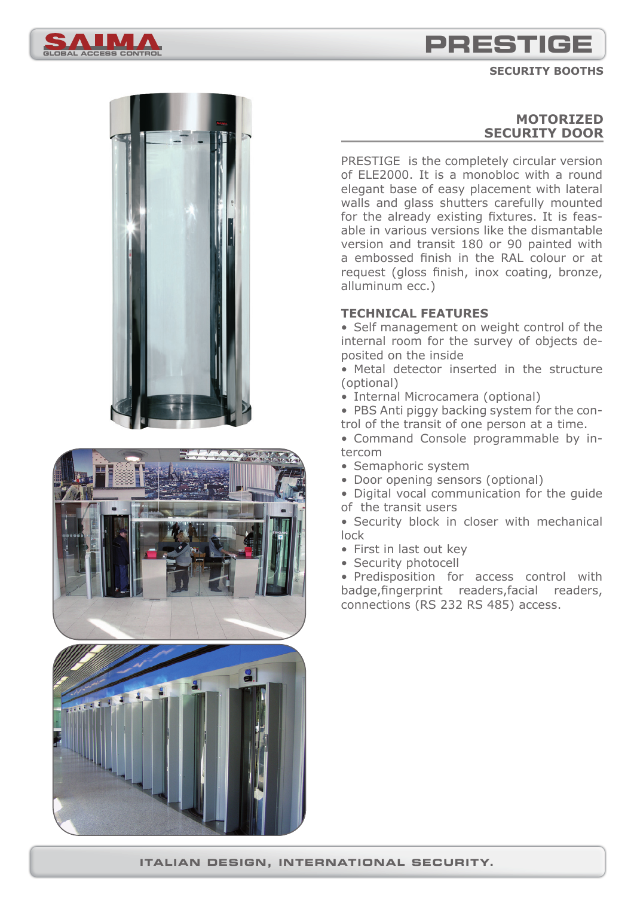

**SECURITY BOOTHS**









# **MOTORIZED SECURITY DOOR**

PRESTIGE is the completely circular version of ELE2000. It is a monobloc with a round elegant base of easy placement with lateral walls and glass shutters carefully mounted for the already existing fixtures. It is feasable in various versions like the dismantable version and transit 180 or 90 painted with a embossed finish in the RAL colour or at request (gloss finish, inox coating, bronze, alluminum ecc.)

### **TECHNICAL FEATURES**

• Self management on weight control of the internal room for the survey of objects deposited on the inside

• Metal detector inserted in the structure (optional)

• Internal Microcamera (optional)

• PBS Anti piggy backing system for the control of the transit of one person at a time.

• Command Console programmable by intercom

- Semaphoric system
- Door opening sensors (optional)

• Digital vocal communication for the guide of the transit users

• Security block in closer with mechanical lock

- First in last out key
- Security photocell

• Predisposition for access control with badge, fingerprint readers, facial readers, connections (RS 232 RS 485) access.